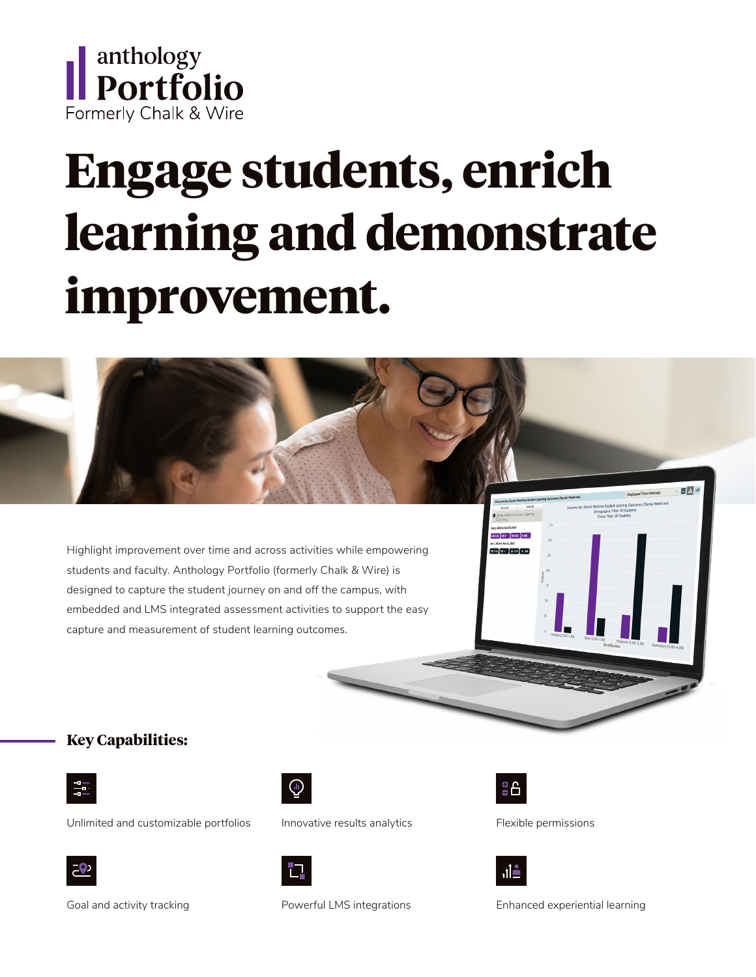

# **Engage students, enrich learning and demonstrate improvement.**

Highlight improvement over time and across activities while empowering students and faculty. Anthology Portfolio (formerly Chalk & Wire) is designed to capture the student journey on and off the campus, with embedded and LMS integrated assessment activities to support the easy capture and measurement of student learning outcomes.

#### **Key Capabilities:**



Unlimited and customizable portfolios



Innovative results analytics





113 MO 2 20 675 N 200

Flexible permissions



Goal and activity tracking

Powerful LMS integrations



Enhanced experiential learning